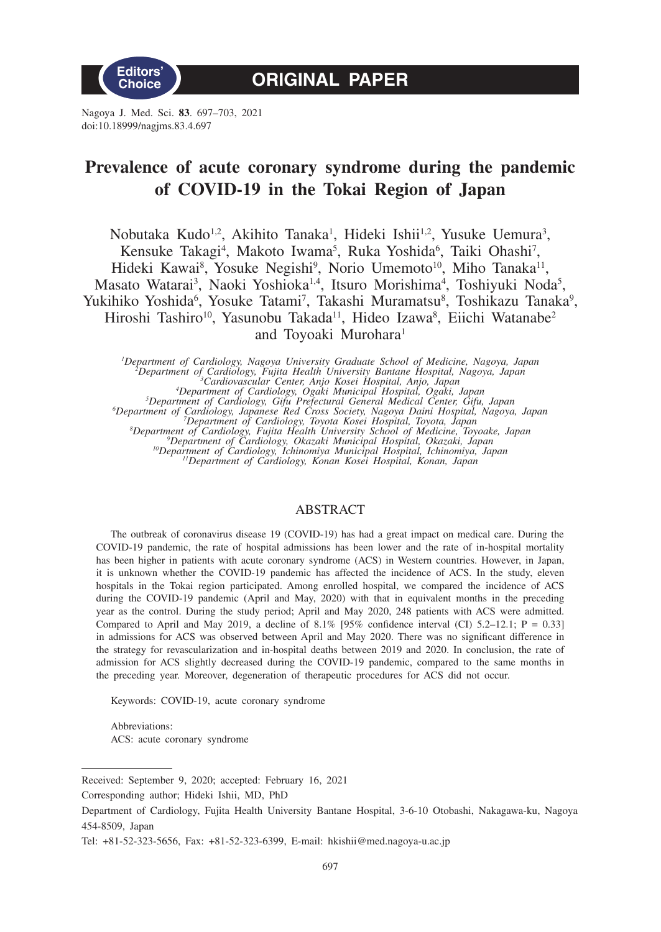

Nagoya J. Med. Sci. **83**. 697–703, 2021 doi:10.18999/nagjms.83.4.697

# **Prevalence of acute coronary syndrome during the pandemic of COVID-19 in the Tokai Region of Japan**

Nobutaka Kudo<sup>1,2</sup>, Akihito Tanaka<sup>1</sup>, Hideki Ishii<sup>1,2</sup>, Yusuke Uemura<sup>3</sup>, Kensuke Takagi<sup>4</sup>, Makoto Iwama<sup>5</sup>, Ruka Yoshida<sup>6</sup>, Taiki Ohashi<sup>7</sup>, Hideki Kawai<sup>8</sup>, Yosuke Negishi<sup>9</sup>, Norio Umemoto<sup>10</sup>, Miho Tanaka<sup>11</sup>, Masato Watarai<sup>3</sup>, Naoki Yoshioka<sup>1,4</sup>, Itsuro Morishima<sup>4</sup>, Toshiyuki Noda<sup>5</sup>, Yukihiko Yoshida<sup>6</sup>, Yosuke Tatami<sup>7</sup>, Takashi Muramatsu<sup>8</sup>, Toshikazu Tanaka<sup>9</sup>, Hiroshi Tashiro<sup>10</sup>, Yasunobu Takada<sup>11</sup>, Hideo Izawa<sup>8</sup>, Eiichi Watanabe<sup>2</sup> and Toyoaki Murohara<sup>1</sup>

"Department of Cardiology, Nagoya University Graduate School of Medicine, Nagoya, Japan<br>
"Department of Cardiology, Fujita Health University Bantane Hospital, Nagoya, Japan<br>
"Cardiology, Fujita Health University Bantane Ho

### ABSTRACT

The outbreak of coronavirus disease 19 (COVID-19) has had a great impact on medical care. During the COVID-19 pandemic, the rate of hospital admissions has been lower and the rate of in-hospital mortality has been higher in patients with acute coronary syndrome (ACS) in Western countries. However, in Japan, it is unknown whether the COVID-19 pandemic has affected the incidence of ACS. In the study, eleven hospitals in the Tokai region participated. Among enrolled hospital, we compared the incidence of ACS during the COVID-19 pandemic (April and May, 2020) with that in equivalent months in the preceding year as the control. During the study period; April and May 2020, 248 patients with ACS were admitted. Compared to April and May 2019, a decline of 8.1% [95% confidence interval (CI) 5.2–12.1; P = 0.33] in admissions for ACS was observed between April and May 2020. There was no significant difference in the strategy for revascularization and in-hospital deaths between 2019 and 2020. In conclusion, the rate of admission for ACS slightly decreased during the COVID-19 pandemic, compared to the same months in the preceding year. Moreover, degeneration of therapeutic procedures for ACS did not occur.

Keywords: COVID-19, acute coronary syndrome

Abbreviations: ACS: acute coronary syndrome

Received: September 9, 2020; accepted: February 16, 2021

Corresponding author; Hideki Ishii, MD, PhD

Department of Cardiology, Fujita Health University Bantane Hospital, 3-6-10 Otobashi, Nakagawa-ku, Nagoya 454-8509, Japan

Tel: +81-52-323-5656, Fax: +81-52-323-6399, E-mail: hkishii@med.nagoya-u.ac.jp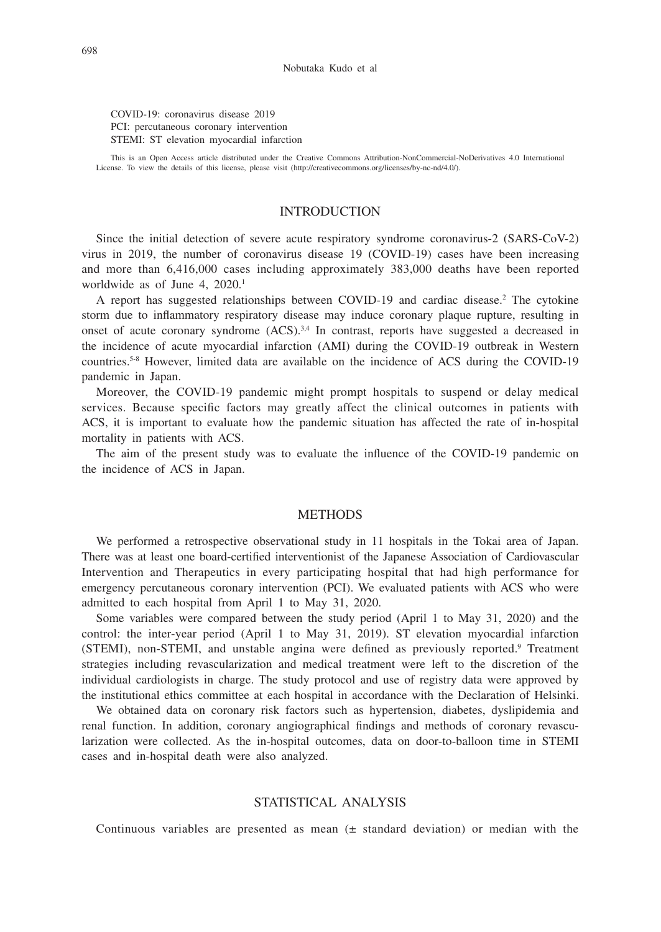COVID-19: coronavirus disease 2019 PCI: percutaneous coronary intervention STEMI: ST elevation myocardial infarction

This is an Open Access article distributed under the Creative Commons Attribution-NonCommercial-NoDerivatives 4.0 International License. To view the details of this license, please visit (http://creativecommons.org/licenses/by-nc-nd/4.0/).

#### INTRODUCTION

Since the initial detection of severe acute respiratory syndrome coronavirus-2 (SARS-CoV-2) virus in 2019, the number of coronavirus disease 19 (COVID-19) cases have been increasing and more than 6,416,000 cases including approximately 383,000 deaths have been reported worldwide as of June 4, 2020.<sup>1</sup>

A report has suggested relationships between COVID-19 and cardiac disease.<sup>2</sup> The cytokine storm due to inflammatory respiratory disease may induce coronary plaque rupture, resulting in onset of acute coronary syndrome  $(ACS)^{3,4}$  In contrast, reports have suggested a decreased in the incidence of acute myocardial infarction (AMI) during the COVID-19 outbreak in Western countries.5-8 However, limited data are available on the incidence of ACS during the COVID-19 pandemic in Japan.

Moreover, the COVID-19 pandemic might prompt hospitals to suspend or delay medical services. Because specific factors may greatly affect the clinical outcomes in patients with ACS, it is important to evaluate how the pandemic situation has affected the rate of in-hospital mortality in patients with ACS.

The aim of the present study was to evaluate the influence of the COVID-19 pandemic on the incidence of ACS in Japan.

#### **METHODS**

We performed a retrospective observational study in 11 hospitals in the Tokai area of Japan. There was at least one board-certified interventionist of the Japanese Association of Cardiovascular Intervention and Therapeutics in every participating hospital that had high performance for emergency percutaneous coronary intervention (PCI). We evaluated patients with ACS who were admitted to each hospital from April 1 to May 31, 2020.

Some variables were compared between the study period (April 1 to May 31, 2020) and the control: the inter-year period (April 1 to May 31, 2019). ST elevation myocardial infarction (STEMI), non-STEMI, and unstable angina were defined as previously reported.<sup>9</sup> Treatment strategies including revascularization and medical treatment were left to the discretion of the individual cardiologists in charge. The study protocol and use of registry data were approved by the institutional ethics committee at each hospital in accordance with the Declaration of Helsinki.

We obtained data on coronary risk factors such as hypertension, diabetes, dyslipidemia and renal function. In addition, coronary angiographical findings and methods of coronary revascularization were collected. As the in-hospital outcomes, data on door-to-balloon time in STEMI cases and in-hospital death were also analyzed.

#### STATISTICAL ANALYSIS

Continuous variables are presented as mean  $(\pm$  standard deviation) or median with the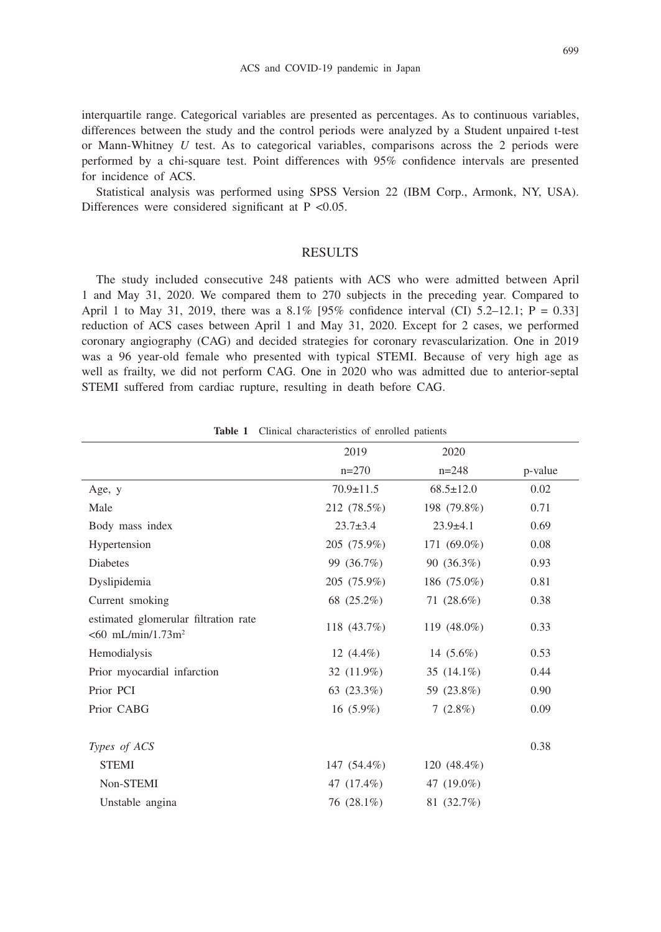#### ACS and COVID-19 pandemic in Japan

interquartile range. Categorical variables are presented as percentages. As to continuous variables, differences between the study and the control periods were analyzed by a Student unpaired t-test or Mann-Whitney *U* test. As to categorical variables, comparisons across the 2 periods were performed by a chi-square test. Point differences with 95% confidence intervals are presented for incidence of ACS.

Statistical analysis was performed using SPSS Version 22 (IBM Corp., Armonk, NY, USA). Differences were considered significant at  $P < 0.05$ .

#### RESULTS

The study included consecutive 248 patients with ACS who were admitted between April 1 and May 31, 2020. We compared them to 270 subjects in the preceding year. Compared to April 1 to May 31, 2019, there was a  $8.1\%$  [95% confidence interval (CI) 5.2–12.1; P = 0.33] reduction of ACS cases between April 1 and May 31, 2020. Except for 2 cases, we performed coronary angiography (CAG) and decided strategies for coronary revascularization. One in 2019 was a 96 year-old female who presented with typical STEMI. Because of very high age as well as frailty, we did not perform CAG. One in 2020 who was admitted due to anterior-septal STEMI suffered from cardiac rupture, resulting in death before CAG.

|                                                                          | 2019            | 2020            |         |
|--------------------------------------------------------------------------|-----------------|-----------------|---------|
|                                                                          | $n=270$         | $n=248$         | p-value |
| Age, y                                                                   | $70.9 \pm 11.5$ | $68.5 \pm 12.0$ | 0.02    |
| Male                                                                     | 212 (78.5%)     | 198 (79.8%)     | 0.71    |
| Body mass index                                                          | $23.7 \pm 3.4$  | $23.9 \pm 4.1$  | 0.69    |
| Hypertension                                                             | 205 (75.9%)     | 171 (69.0%)     | 0.08    |
| Diabetes                                                                 | 99 (36.7%)      | 90 (36.3%)      | 0.93    |
| Dyslipidemia                                                             | 205 (75.9%)     | 186 (75.0%)     | 0.81    |
| Current smoking                                                          | 68 (25.2%)      | 71 (28.6%)      | 0.38    |
| estimated glomerular filtration rate<br>$< 60$ mL/min/1.73m <sup>2</sup> | 118 (43.7%)     | 119 $(48.0\%)$  | 0.33    |
| Hemodialysis                                                             | 12 $(4.4\%)$    | 14 $(5.6\%)$    | 0.53    |
| Prior myocardial infarction                                              | 32 (11.9%)      | 35 $(14.1\%)$   | 0.44    |
| Prior PCI                                                                | 63 $(23.3\%)$   | 59 (23.8%)      | 0.90    |
| Prior CABG                                                               | $16(5.9\%)$     | $7(2.8\%)$      | 0.09    |
|                                                                          |                 |                 |         |
| Types of ACS                                                             |                 |                 | 0.38    |
| <b>STEMI</b>                                                             | 147 (54.4%)     | 120 $(48.4\%)$  |         |
| Non-STEMI                                                                | 47 (17.4%)      | 47 (19.0%)      |         |
| Unstable angina                                                          | 76 (28.1%)      | 81 (32.7%)      |         |

**Table 1** Clinical characteristics of enrolled patients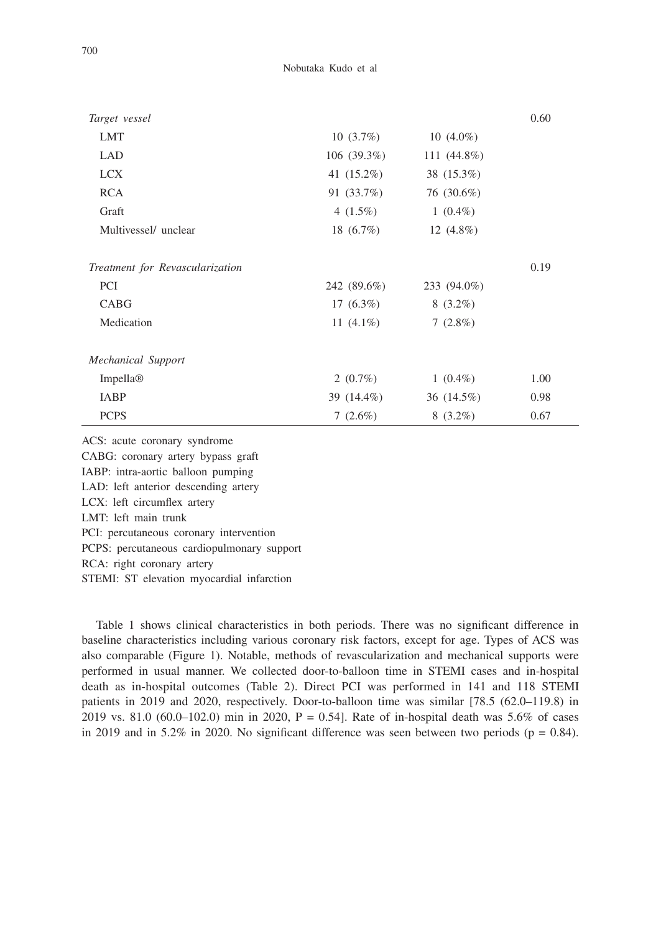Nobutaka Kudo et al

| Target vessel                   |               |                | 0.60 |
|---------------------------------|---------------|----------------|------|
| <b>LMT</b>                      | $10(3.7\%)$   | $10(4.0\%)$    |      |
| <b>LAD</b>                      | $106(39.3\%)$ | 111 $(44.8\%)$ |      |
| <b>LCX</b>                      | 41 (15.2%)    | 38 (15.3%)     |      |
| <b>RCA</b>                      | 91 (33.7%)    | 76 (30.6%)     |      |
| Graft                           | 4 $(1.5\%)$   | $1(0.4\%)$     |      |
| Multivessel/ unclear            | 18 $(6.7\%)$  | 12 $(4.8\%)$   |      |
| Treatment for Revascularization |               |                | 0.19 |
| <b>PCI</b>                      | 242 (89.6%)   | 233 (94.0%)    |      |
| <b>CABG</b>                     | 17 $(6.3\%)$  | $8(3.2\%)$     |      |
| Medication                      | 11 $(4.1\%)$  | $7(2.8\%)$     |      |
| Mechanical Support              |               |                |      |
| Impella <sup>®</sup>            | 2 $(0.7\%)$   | $1(0.4\%)$     | 1.00 |
| IABP                            | 39 (14.4%)    | 36 (14.5%)     | 0.98 |
| <b>PCPS</b>                     | $7(2.6\%)$    | $8(3.2\%)$     | 0.67 |

ACS: acute coronary syndrome CABG: coronary artery bypass graft IABP: intra-aortic balloon pumping LAD: left anterior descending artery LCX: left circumflex artery LMT: left main trunk PCI: percutaneous coronary intervention PCPS: percutaneous cardiopulmonary support RCA: right coronary artery STEMI: ST elevation myocardial infarction

Table 1 shows clinical characteristics in both periods. There was no significant difference in baseline characteristics including various coronary risk factors, except for age. Types of ACS was also comparable (Figure 1). Notable, methods of revascularization and mechanical supports were performed in usual manner. We collected door-to-balloon time in STEMI cases and in-hospital death as in-hospital outcomes (Table 2). Direct PCI was performed in 141 and 118 STEMI patients in 2019 and 2020, respectively. Door-to-balloon time was similar [78.5 (62.0–119.8) in 2019 vs. 81.0 (60.0–102.0) min in 2020, P = 0.54]. Rate of in-hospital death was 5.6% of cases in 2019 and in 5.2% in 2020. No significant difference was seen between two periods ( $p = 0.84$ ).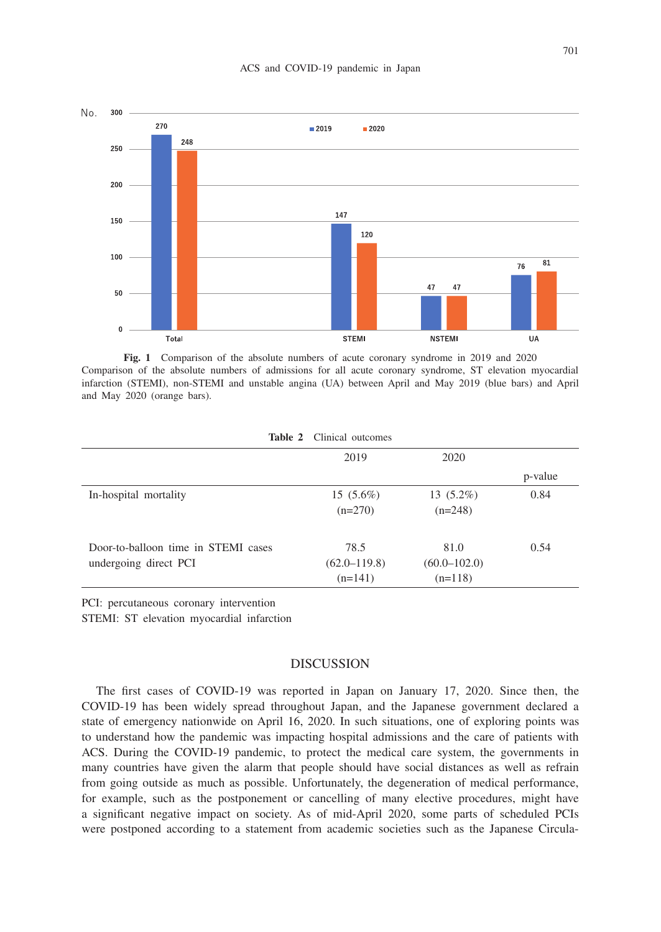

**Fig. 1** Comparison of the absolute numbers of acute coronary syndrome in 2019 and 2020 Comparison of the absolute numbers of admissions for all acute coronary syndrome, ST elevation myocardial infarction (STEMI), non-STEMI and unstable angina (UA) between April and May 2019 (blue bars) and April and May 2020 (orange bars).

| <b>Lable</b> $\boldsymbol{\mu}$ Chillcal butcomes |                  |                  |         |  |  |
|---------------------------------------------------|------------------|------------------|---------|--|--|
|                                                   | 2019             | 2020             |         |  |  |
|                                                   |                  |                  | p-value |  |  |
| In-hospital mortality                             | $15(5.6\%)$      | $13(5.2\%)$      | 0.84    |  |  |
|                                                   | $(n=270)$        | $(n=248)$        |         |  |  |
| Door-to-balloon time in STEMI cases               | 78.5             | 81.0             | 0.54    |  |  |
| undergoing direct PCI                             | $(62.0 - 119.8)$ | $(60.0 - 102.0)$ |         |  |  |
|                                                   | $(n=141)$        | $(n=118)$        |         |  |  |

**Table 2** Clinical outcomes

PCI: percutaneous coronary intervention

STEMI: ST elevation myocardial infarction

### **DISCUSSION**

The first cases of COVID-19 was reported in Japan on January 17, 2020. Since then, the COVID-19 has been widely spread throughout Japan, and the Japanese government declared a state of emergency nationwide on April 16, 2020. In such situations, one of exploring points was to understand how the pandemic was impacting hospital admissions and the care of patients with ACS. During the COVID-19 pandemic, to protect the medical care system, the governments in many countries have given the alarm that people should have social distances as well as refrain from going outside as much as possible. Unfortunately, the degeneration of medical performance, for example, such as the postponement or cancelling of many elective procedures, might have a significant negative impact on society. As of mid-April 2020, some parts of scheduled PCIs were postponed according to a statement from academic societies such as the Japanese Circula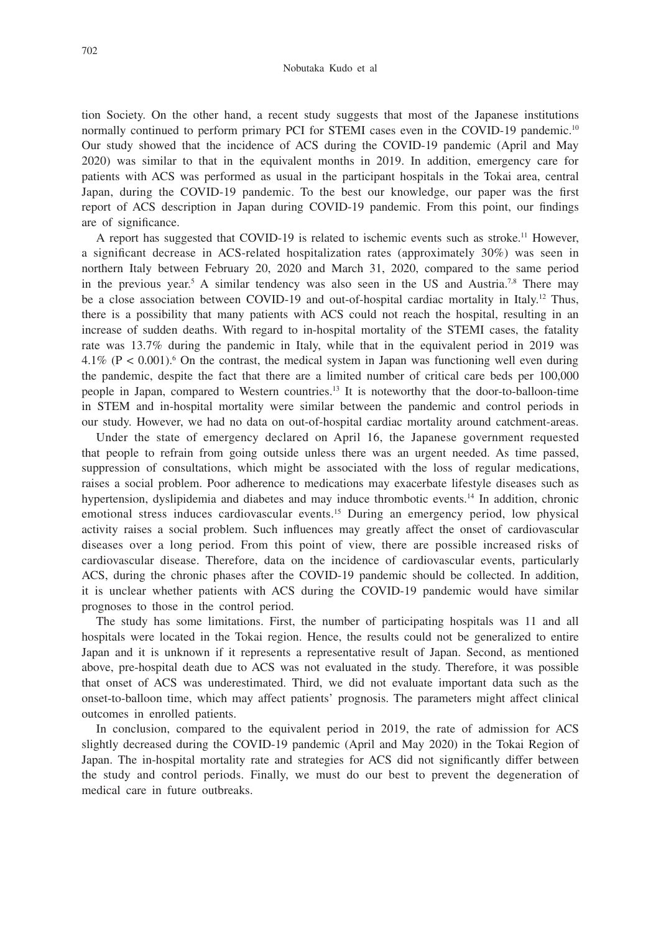tion Society. On the other hand, a recent study suggests that most of the Japanese institutions normally continued to perform primary PCI for STEMI cases even in the COVID-19 pandemic.<sup>10</sup> Our study showed that the incidence of ACS during the COVID-19 pandemic (April and May 2020) was similar to that in the equivalent months in 2019. In addition, emergency care for patients with ACS was performed as usual in the participant hospitals in the Tokai area, central Japan, during the COVID-19 pandemic. To the best our knowledge, our paper was the first report of ACS description in Japan during COVID-19 pandemic. From this point, our findings are of significance.

A report has suggested that COVID-19 is related to ischemic events such as stroke.11 However, a significant decrease in ACS-related hospitalization rates (approximately 30%) was seen in northern Italy between February 20, 2020 and March 31, 2020, compared to the same period in the previous year.<sup>5</sup> A similar tendency was also seen in the US and Austria.<sup>7,8</sup> There may be a close association between COVID-19 and out-of-hospital cardiac mortality in Italy.<sup>12</sup> Thus, there is a possibility that many patients with ACS could not reach the hospital, resulting in an increase of sudden deaths. With regard to in-hospital mortality of the STEMI cases, the fatality rate was 13.7% during the pandemic in Italy, while that in the equivalent period in 2019 was  $4.1\%$  (P < 0.001).<sup>6</sup> On the contrast, the medical system in Japan was functioning well even during the pandemic, despite the fact that there are a limited number of critical care beds per 100,000 people in Japan, compared to Western countries.13 It is noteworthy that the door-to-balloon-time in STEM and in-hospital mortality were similar between the pandemic and control periods in our study. However, we had no data on out-of-hospital cardiac mortality around catchment-areas.

Under the state of emergency declared on April 16, the Japanese government requested that people to refrain from going outside unless there was an urgent needed. As time passed, suppression of consultations, which might be associated with the loss of regular medications, raises a social problem. Poor adherence to medications may exacerbate lifestyle diseases such as hypertension, dyslipidemia and diabetes and may induce thrombotic events.14 In addition, chronic emotional stress induces cardiovascular events.15 During an emergency period, low physical activity raises a social problem. Such influences may greatly affect the onset of cardiovascular diseases over a long period. From this point of view, there are possible increased risks of cardiovascular disease. Therefore, data on the incidence of cardiovascular events, particularly ACS, during the chronic phases after the COVID-19 pandemic should be collected. In addition, it is unclear whether patients with ACS during the COVID-19 pandemic would have similar prognoses to those in the control period.

The study has some limitations. First, the number of participating hospitals was 11 and all hospitals were located in the Tokai region. Hence, the results could not be generalized to entire Japan and it is unknown if it represents a representative result of Japan. Second, as mentioned above, pre-hospital death due to ACS was not evaluated in the study. Therefore, it was possible that onset of ACS was underestimated. Third, we did not evaluate important data such as the onset-to-balloon time, which may affect patients' prognosis. The parameters might affect clinical outcomes in enrolled patients.

In conclusion, compared to the equivalent period in 2019, the rate of admission for ACS slightly decreased during the COVID-19 pandemic (April and May 2020) in the Tokai Region of Japan. The in-hospital mortality rate and strategies for ACS did not significantly differ between the study and control periods. Finally, we must do our best to prevent the degeneration of medical care in future outbreaks.